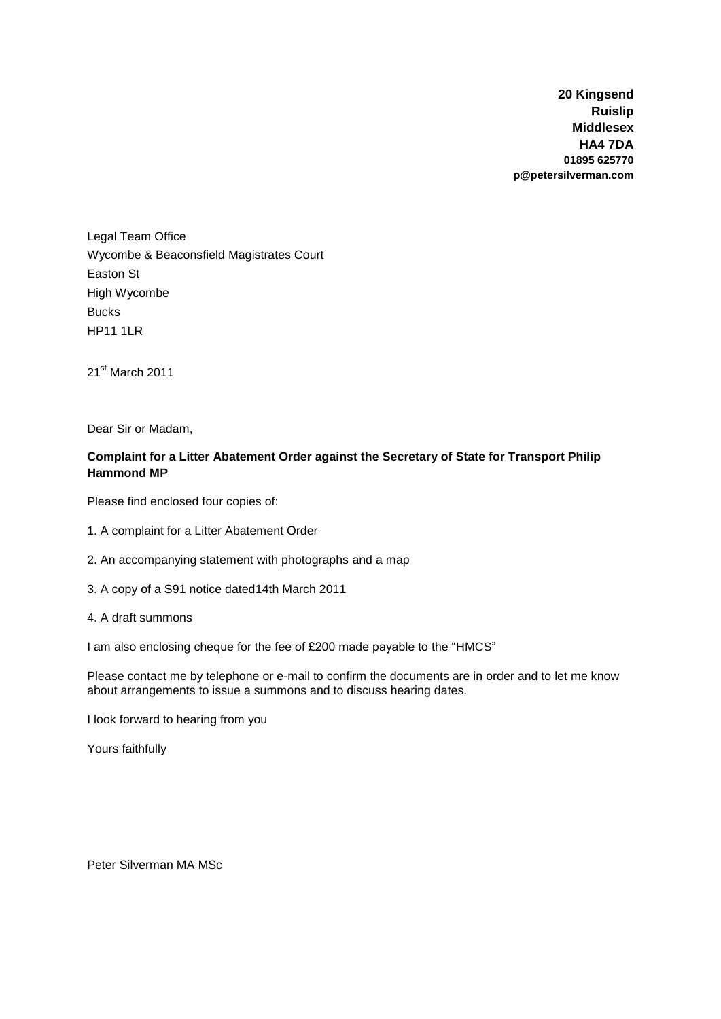**20 Kingsend Ruislip Middlesex HA4 7DA 01895 625770 p@petersilverman.com**

Legal Team Office Wycombe & Beaconsfield Magistrates Court Easton St High Wycombe Bucks HP11 1LR

21<sup>st</sup> March 2011

Dear Sir or Madam,

# **Complaint for a Litter Abatement Order against the Secretary of State for Transport Philip Hammond MP**

Please find enclosed four copies of:

- 1. A complaint for a Litter Abatement Order
- 2. An accompanying statement with photographs and a map
- 3. A copy of a S91 notice dated14th March 2011
- 4. A draft summons

I am also enclosing cheque for the fee of £200 made payable to the "HMCS"

Please contact me by telephone or e-mail to confirm the documents are in order and to let me know about arrangements to issue a summons and to discuss hearing dates.

I look forward to hearing from you

Yours faithfully

Peter Silverman MA MSc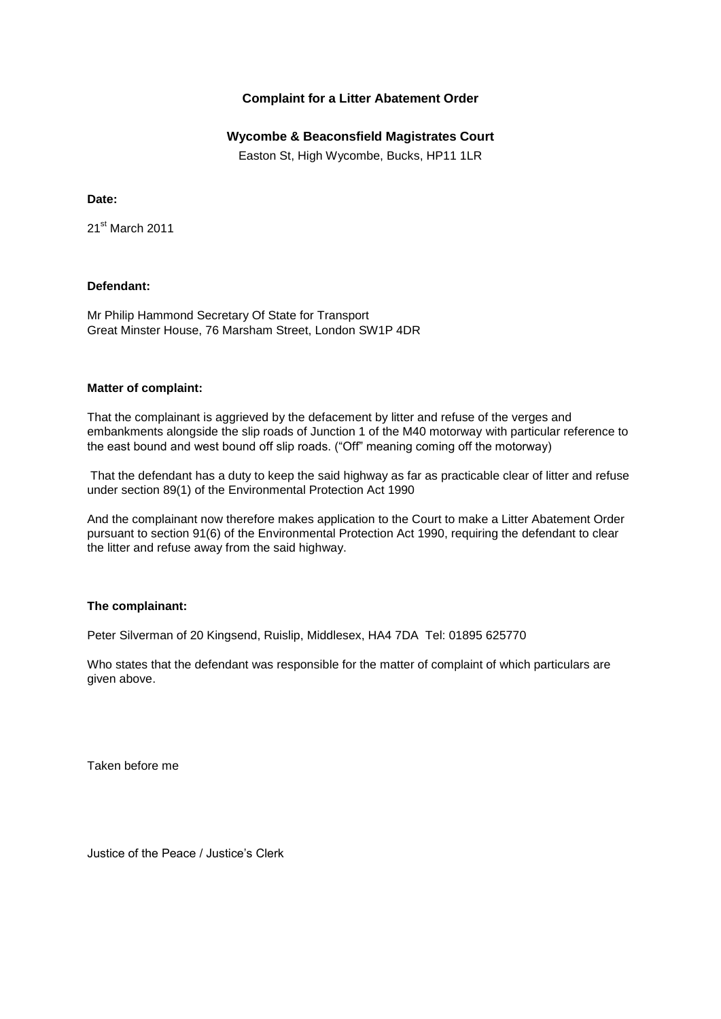## **Complaint for a Litter Abatement Order**

### **Wycombe & Beaconsfield Magistrates Court**

Easton St, High Wycombe, Bucks, HP11 1LR

#### **Date:**

21st March 2011

#### **Defendant:**

Mr Philip Hammond Secretary Of State for Transport Great Minster House, 76 Marsham Street, London SW1P 4DR

#### **Matter of complaint:**

That the complainant is aggrieved by the defacement by litter and refuse of the verges and embankments alongside the slip roads of Junction 1 of the M40 motorway with particular reference to the east bound and west bound off slip roads. ("Off" meaning coming off the motorway)

That the defendant has a duty to keep the said highway as far as practicable clear of litter and refuse under section 89(1) of the Environmental Protection Act 1990

And the complainant now therefore makes application to the Court to make a Litter Abatement Order pursuant to section 91(6) of the Environmental Protection Act 1990, requiring the defendant to clear the litter and refuse away from the said highway.

#### **The complainant:**

Peter Silverman of 20 Kingsend, Ruislip, Middlesex, HA4 7DA Tel: 01895 625770

Who states that the defendant was responsible for the matter of complaint of which particulars are given above.

Taken before me

Justice of the Peace / Justice's Clerk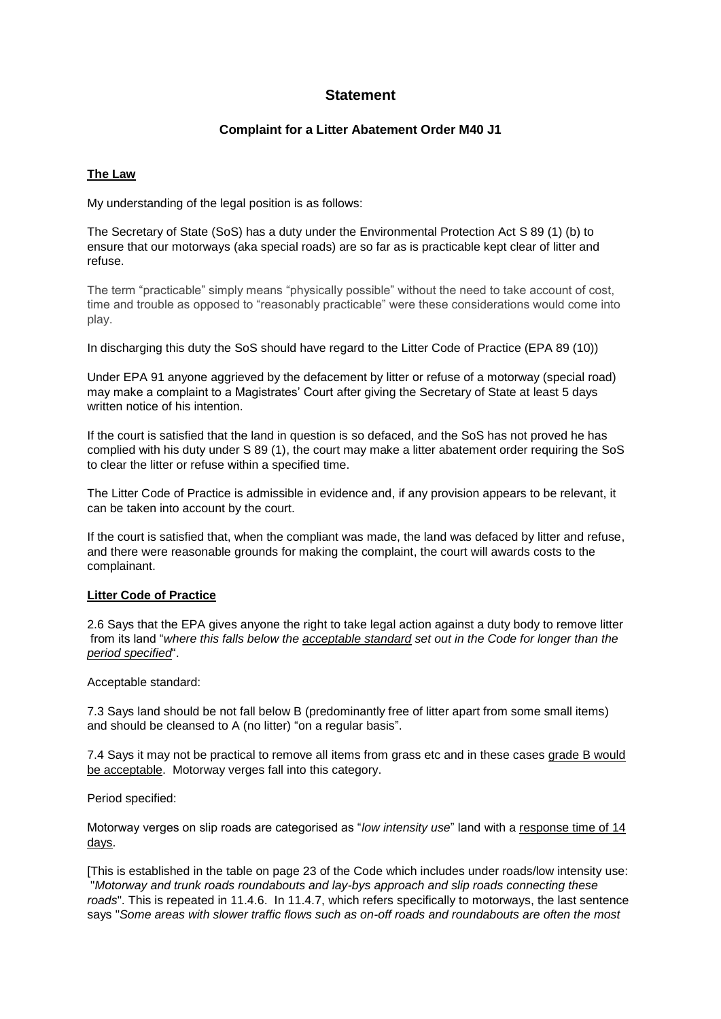# **Statement**

#### **Complaint for a Litter Abatement Order M40 J1**

#### **The Law**

My understanding of the legal position is as follows:

The Secretary of State (SoS) has a duty under the Environmental Protection Act S 89 (1) (b) to ensure that our motorways (aka special roads) are so far as is practicable kept clear of litter and refuse.

The term "practicable" simply means "physically possible" without the need to take account of cost, time and trouble as opposed to "reasonably practicable" were these considerations would come into play.

In discharging this duty the SoS should have regard to the Litter Code of Practice (EPA 89 (10))

Under EPA 91 anyone aggrieved by the defacement by litter or refuse of a motorway (special road) may make a complaint to a Magistrates' Court after giving the Secretary of State at least 5 days written notice of his intention.

If the court is satisfied that the land in question is so defaced, and the SoS has not proved he has complied with his duty under S 89 (1), the court may make a litter abatement order requiring the SoS to clear the litter or refuse within a specified time.

The Litter Code of Practice is admissible in evidence and, if any provision appears to be relevant, it can be taken into account by the court.

If the court is satisfied that, when the compliant was made, the land was defaced by litter and refuse, and there were reasonable grounds for making the complaint, the court will awards costs to the complainant.

#### **Litter Code of Practice**

2.6 Says that the EPA gives anyone the right to take legal action against a duty body to remove litter from its land "*where this falls below the acceptable standard set out in the Code for longer than the period specified*".

Acceptable standard:

7.3 Says land should be not fall below B (predominantly free of litter apart from some small items) and should be cleansed to A (no litter) "on a regular basis".

7.4 Says it may not be practical to remove all items from grass etc and in these cases grade B would be acceptable. Motorway verges fall into this category.

Period specified:

Motorway verges on slip roads are categorised as "*low intensity use*" land with a response time of 14 days.

[This is established in the table on page 23 of the Code which includes under roads/low intensity use: "*Motorway and trunk roads roundabouts and lay-bys approach and slip roads connecting these roads*". This is repeated in 11.4.6. In 11.4.7, which refers specifically to motorways, the last sentence says "*Some areas with slower traffic flows such as on-off roads and roundabouts are often the most*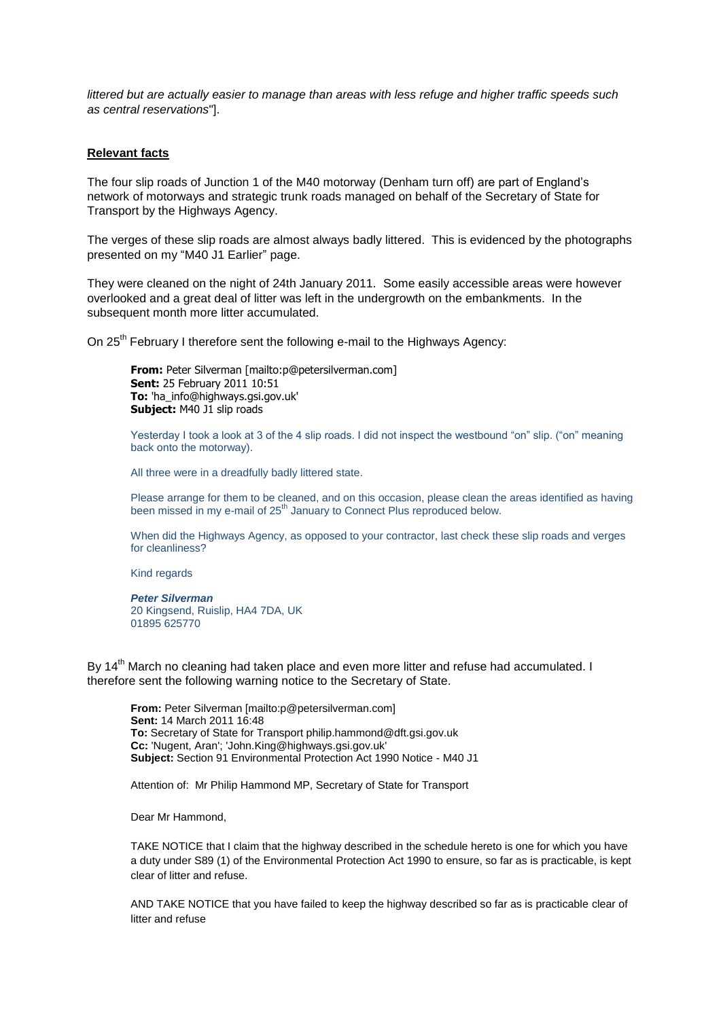*littered but are actually easier to manage than areas with less refuge and higher traffic speeds such as central reservations*"].

#### **Relevant facts**

The four slip roads of Junction 1 of the M40 motorway (Denham turn off) are part of England's network of motorways and strategic trunk roads managed on behalf of the Secretary of State for Transport by the Highways Agency.

The verges of these slip roads are almost always badly littered. This is evidenced by the photographs presented on my "M40 J1 Earlier" page.

They were cleaned on the night of 24th January 2011. Some easily accessible areas were however overlooked and a great deal of litter was left in the undergrowth on the embankments. In the subsequent month more litter accumulated.

On 25<sup>th</sup> February I therefore sent the following e-mail to the Highways Agency:

**From:** Peter Silverman [mailto:p@petersilverman.com] **Sent:** 25 February 2011 10:51 **To:** 'ha\_info@highways.gsi.gov.uk' **Subject:** M40 J1 slip roads

Yesterday I took a look at 3 of the 4 slip roads. I did not inspect the westbound "on" slip. ("on" meaning back onto the motorway).

All three were in a dreadfully badly littered state.

Please arrange for them to be cleaned, and on this occasion, please clean the areas identified as having been missed in my e-mail of 25<sup>th</sup> January to Connect Plus reproduced below.

When did the Highways Agency, as opposed to your contractor, last check these slip roads and verges for cleanliness?

Kind regards

*Peter Silverman* 20 Kingsend, Ruislip, HA4 7DA, UK 01895 625770

By 14<sup>th</sup> March no cleaning had taken place and even more litter and refuse had accumulated. I therefore sent the following warning notice to the Secretary of State.

**From:** Peter Silverman [mailto:p@petersilverman.com] **Sent:** 14 March 2011 16:48 **To:** Secretary of State for Transport philip.hammond@dft.gsi.gov.uk **Cc:** 'Nugent, Aran'; 'John.King@highways.gsi.gov.uk' **Subject:** Section 91 Environmental Protection Act 1990 Notice - M40 J1

Attention of: Mr Philip Hammond MP, Secretary of State for Transport

Dear Mr Hammond,

TAKE NOTICE that I claim that the highway described in the schedule hereto is one for which you have a duty under S89 (1) of the Environmental Protection Act 1990 to ensure, so far as is practicable, is kept clear of litter and refuse.

AND TAKE NOTICE that you have failed to keep the highway described so far as is practicable clear of litter and refuse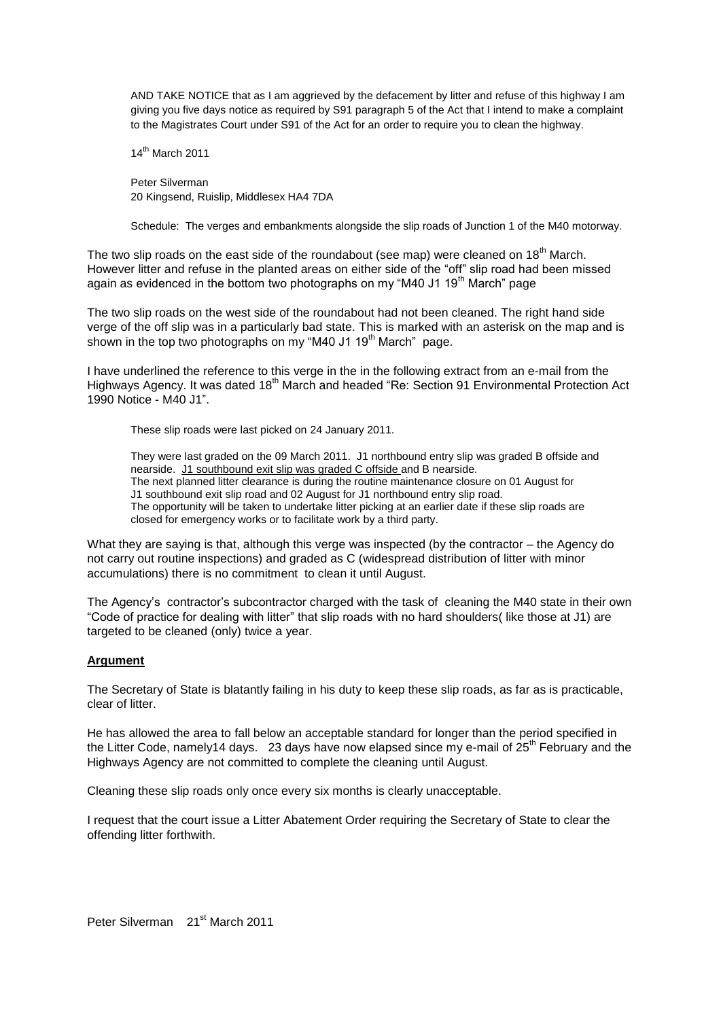AND TAKE NOTICE that as I am aggrieved by the defacement by litter and refuse of this highway I am giving you five days notice as required by S91 paragraph 5 of the Act that I intend to make a complaint to the Magistrates Court under S91 of the Act for an order to require you to clean the highway.

14th March 2011

Peter Silverman 20 Kingsend, Ruislip, Middlesex HA4 7DA

Schedule: The verges and embankments alongside the slip roads of Junction 1 of the M40 motorway.

The two slip roads on the east side of the roundabout (see map) were cleaned on 18<sup>th</sup> March. However litter and refuse in the planted areas on either side of the "off" slip road had been missed again as evidenced in the bottom two photographs on my "M40 J1 19<sup>th</sup> March" page

The two slip roads on the west side of the roundabout had not been cleaned. The right hand side verge of the off slip was in a particularly bad state. This is marked with an asterisk on the map and is shown in the top two photographs on my "M40 J1 19<sup>th</sup> March" page.

I have underlined the reference to this verge in the in the following extract from an e-mail from the Highways Agency. It was dated 18<sup>th</sup> March and headed "Re: Section 91 Environmental Protection Act 1990 Notice - M40 J1".

These slip roads were last picked on 24 January 2011.

They were last graded on the 09 March 2011. J1 northbound entry slip was graded B offside and nearside. J1 southbound exit slip was graded C offside and B nearside. The next planned litter clearance is during the routine maintenance closure on 01 August for J1 southbound exit slip road and 02 August for J1 northbound entry slip road. The opportunity will be taken to undertake litter picking at an earlier date if these slip roads are closed for emergency works or to facilitate work by a third party.

What they are saying is that, although this verge was inspected (by the contractor – the Agency do not carry out routine inspections) and graded as C (widespread distribution of litter with minor accumulations) there is no commitment to clean it until August.

The Agency's contractor's subcontractor charged with the task of cleaning the M40 state in their own "Code of practice for dealing with litter" that slip roads with no hard shoulders( like those at J1) are targeted to be cleaned (only) twice a year.

#### **Argument**

The Secretary of State is blatantly failing in his duty to keep these slip roads, as far as is practicable, clear of litter.

He has allowed the area to fall below an acceptable standard for longer than the period specified in the Litter Code, namely14 days. 23 days have now elapsed since my e-mail of  $25<sup>th</sup>$  February and the Highways Agency are not committed to complete the cleaning until August.

Cleaning these slip roads only once every six months is clearly unacceptable.

I request that the court issue a Litter Abatement Order requiring the Secretary of State to clear the offending litter forthwith.